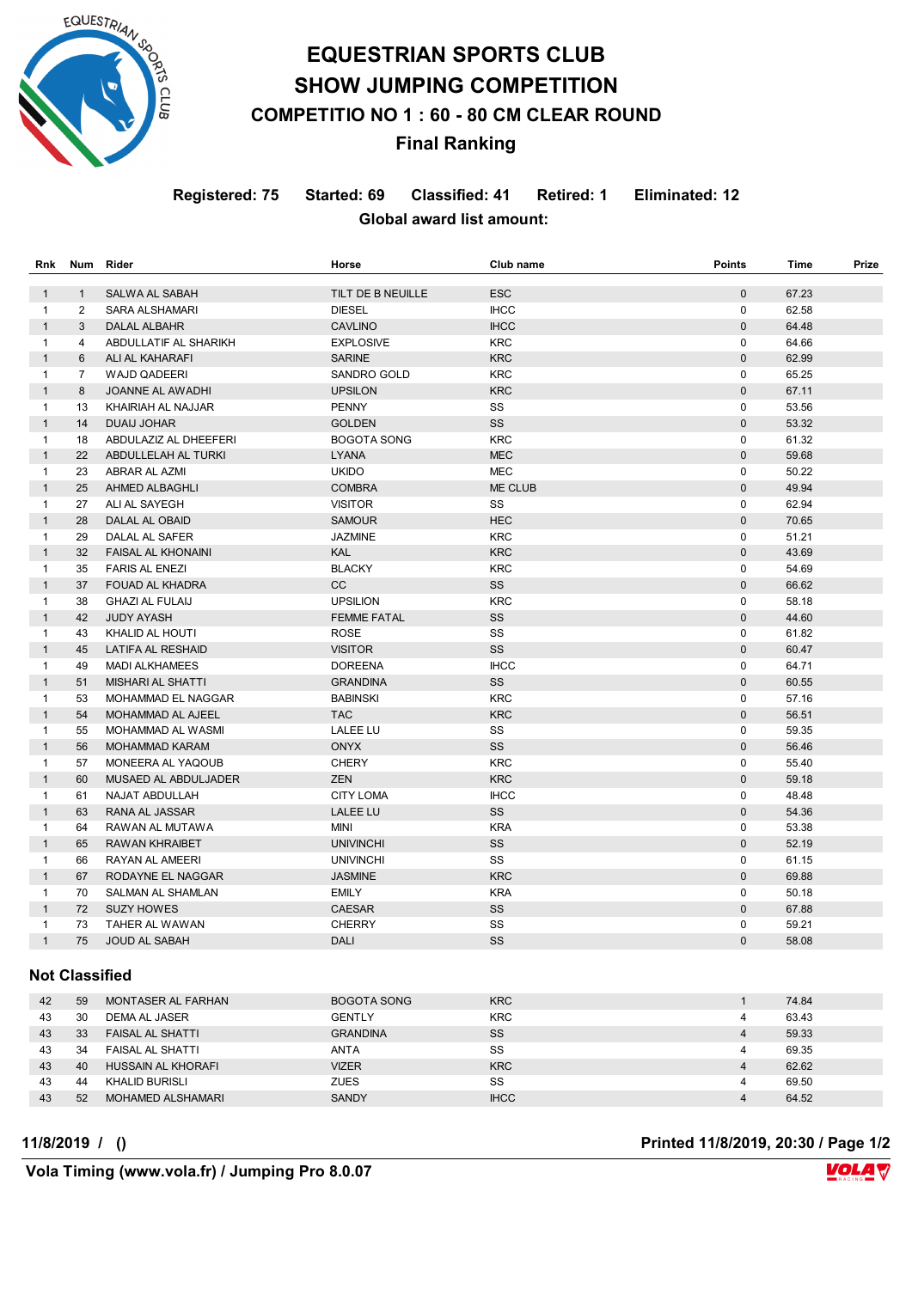

# **EQUESTRIAN SPORTS CLUB SHOW JUMPING COMPETITION COMPETITIO NO 1 : 60 - 80 CM CLEAR ROUND Final Ranking**

**Registered: 75 Started: 69 Classified: 41 Retired: 1 Eliminated: 12 Global award list amount:** 

| <b>Rnk</b>   | <b>Num</b>     | <b>Rider</b>              | Horse              | Club name   | <b>Points</b> | <b>Time</b> | Prize |
|--------------|----------------|---------------------------|--------------------|-------------|---------------|-------------|-------|
| $\mathbf{1}$ | $\mathbf{1}$   | SALWA AL SABAH            | TILT DE B NEUILLE  | <b>ESC</b>  | $\mathbf{0}$  | 67.23       |       |
| $\mathbf{1}$ | 2              | <b>SARA ALSHAMARI</b>     | <b>DIESEL</b>      | <b>IHCC</b> | $\mathbf 0$   | 62.58       |       |
| $\mathbf{1}$ | 3              | <b>DALAL ALBAHR</b>       | <b>CAVLINO</b>     | <b>IHCC</b> | $\mathbf{0}$  | 64.48       |       |
| $\mathbf{1}$ | 4              | ABDULLATIF AL SHARIKH     | <b>EXPLOSIVE</b>   | <b>KRC</b>  | $\mathbf 0$   | 64.66       |       |
| $\mathbf{1}$ | 6              | ALI AL KAHARAFI           | <b>SARINE</b>      | <b>KRC</b>  | $\mathbf 0$   | 62.99       |       |
| $\mathbf{1}$ | $\overline{7}$ | <b>WAJD QADEERI</b>       | <b>SANDRO GOLD</b> | <b>KRC</b>  | $\Omega$      | 65.25       |       |
| $\mathbf{1}$ | 8              | JOANNE AL AWADHI          | <b>UPSILON</b>     | <b>KRC</b>  | $\Omega$      | 67.11       |       |
| $\mathbf{1}$ | 13             | KHAIRIAH AL NAJJAR        | <b>PENNY</b>       | SS          | $\mathbf 0$   | 53.56       |       |
| $\mathbf{1}$ | 14             | <b>DUAIJ JOHAR</b>        | <b>GOLDEN</b>      | SS          | $\mathbf 0$   | 53.32       |       |
| $\mathbf{1}$ | 18             | ABDULAZIZ AL DHEEFERI     | <b>BOGOTA SONG</b> | <b>KRC</b>  | $\mathbf 0$   | 61.32       |       |
| $\mathbf{1}$ | 22             | ABDULLELAH AL TURKI       | <b>LYANA</b>       | <b>MEC</b>  | $\mathbf{0}$  | 59.68       |       |
| $\mathbf{1}$ | 23             | <b>ABRAR AL AZMI</b>      | <b>UKIDO</b>       | <b>MEC</b>  | $\mathbf 0$   | 50.22       |       |
| $\mathbf{1}$ | 25             | AHMED ALBAGHLI            | <b>COMBRA</b>      | ME CLUB     | $\mathbf 0$   | 49.94       |       |
| $\mathbf{1}$ | 27             | ALI AL SAYEGH             | <b>VISITOR</b>     | SS          | $\mathbf 0$   | 62.94       |       |
| $\mathbf{1}$ | 28             | <b>DALAL AL OBAID</b>     | <b>SAMOUR</b>      | <b>HEC</b>  | $\mathbf{0}$  | 70.65       |       |
| $\mathbf{1}$ | 29             | DALAL AL SAFER            | <b>JAZMINE</b>     | <b>KRC</b>  | $\mathbf 0$   | 51.21       |       |
| $\mathbf{1}$ | 32             | <b>FAISAL AL KHONAINI</b> | <b>KAL</b>         | <b>KRC</b>  | $\Omega$      | 43.69       |       |
| $\mathbf{1}$ | 35             | <b>FARIS AL ENEZI</b>     | <b>BLACKY</b>      | <b>KRC</b>  | $\mathbf 0$   | 54.69       |       |
| $\mathbf{1}$ | 37             | FOUAD AL KHADRA           | CC                 | SS          | $\mathbf{0}$  | 66.62       |       |
| $\mathbf{1}$ | 38             | <b>GHAZI AL FULAIJ</b>    | <b>UPSILION</b>    | <b>KRC</b>  | $\Omega$      | 58.18       |       |
| $\mathbf{1}$ | 42             | <b>JUDY AYASH</b>         | <b>FEMME FATAL</b> | SS          | $\Omega$      | 44.60       |       |
| $\mathbf{1}$ | 43             | KHALID AL HOUTI           | <b>ROSE</b>        | SS          | $\mathbf 0$   | 61.82       |       |
| $\mathbf{1}$ | 45             | <b>LATIFA AL RESHAID</b>  | <b>VISITOR</b>     | SS          | $\mathbf 0$   | 60.47       |       |
| $\mathbf{1}$ | 49             | <b>MADI ALKHAMEES</b>     | <b>DOREENA</b>     | <b>IHCC</b> | $\Omega$      | 64.71       |       |
| $\mathbf{1}$ | 51             | MISHARI AL SHATTI         | <b>GRANDINA</b>    | SS          | $\Omega$      | 60.55       |       |
| $\mathbf{1}$ | 53             | MOHAMMAD EL NAGGAR        | <b>BABINSKI</b>    | <b>KRC</b>  | $\mathbf 0$   | 57.16       |       |
| $\mathbf{1}$ | 54             | <b>MOHAMMAD AL AJEEL</b>  | <b>TAC</b>         | <b>KRC</b>  | $\mathbf{0}$  | 56.51       |       |
| $\mathbf{1}$ | 55             | MOHAMMAD AL WASMI         | <b>LALEE LU</b>    | SS          | $\mathbf 0$   | 59.35       |       |
| $\mathbf{1}$ | 56             | <b>MOHAMMAD KARAM</b>     | <b>ONYX</b>        | SS          | $\mathbf{0}$  | 56.46       |       |
| $\mathbf{1}$ | 57             | MONEERA AL YAQOUB         | <b>CHERY</b>       | <b>KRC</b>  | $\mathbf 0$   | 55.40       |       |
| $\mathbf{1}$ | 60             | MUSAED AL ABDULJADER      | <b>ZEN</b>         | <b>KRC</b>  | $\Omega$      | 59.18       |       |
| $\mathbf{1}$ | 61             | NAJAT ABDULLAH            | <b>CITY LOMA</b>   | <b>IHCC</b> | $\mathbf 0$   | 48.48       |       |
| $\mathbf{1}$ | 63             | <b>RANA AL JASSAR</b>     | <b>LALEE LU</b>    | <b>SS</b>   | $\Omega$      | 54.36       |       |
| $\mathbf{1}$ | 64             | RAWAN AL MUTAWA           | <b>MINI</b>        | <b>KRA</b>  | $\mathbf 0$   | 53.38       |       |
| $\mathbf{1}$ | 65             | <b>RAWAN KHRAIBET</b>     | <b>UNIVINCHI</b>   | SS          | $\mathbf{0}$  | 52.19       |       |
| $\mathbf{1}$ | 66             | RAYAN AL AMEERI           | <b>UNIVINCHI</b>   | SS          | $\mathbf 0$   | 61.15       |       |
| $\mathbf{1}$ | 67             | RODAYNE EL NAGGAR         | <b>JASMINE</b>     | <b>KRC</b>  | $\mathbf 0$   | 69.88       |       |
| $\mathbf{1}$ | 70             | SALMAN AL SHAMLAN         | <b>EMILY</b>       | <b>KRA</b>  | $\Omega$      | 50.18       |       |
| $\mathbf{1}$ | 72             | <b>SUZY HOWES</b>         | <b>CAESAR</b>      | SS          | $\mathbf{0}$  | 67.88       |       |
| $\mathbf{1}$ | 73             | TAHER AL WAWAN            | <b>CHERRY</b>      | SS          | $\mathbf 0$   | 59.21       |       |
| $\mathbf{1}$ | 75             | JOUD AL SABAH             | <b>DALI</b>        | SS          | $\mathbf 0$   | 58.08       |       |
|              |                |                           |                    |             |               |             |       |

#### **Not Classified**

| 42 | 59 | MONTASER AL FARHAN       | <b>BOGOTA SONG</b> | <b>KRC</b>  |   | 74.84 |
|----|----|--------------------------|--------------------|-------------|---|-------|
| 43 | 30 | DEMA AL JASER            | GENTLY             | <b>KRC</b>  | 4 | 63.43 |
| 43 | 33 | <b>FAISAL AL SHATTI</b>  | <b>GRANDINA</b>    | SS          | 4 | 59.33 |
| 43 | 34 | FAISAL AL SHATTI         | <b>ANTA</b>        | SS          | 4 | 69.35 |
| 43 | 40 | HUSSAIN AL KHORAFI       | <b>VIZER</b>       | <b>KRC</b>  | 4 | 62.62 |
| 43 | 44 | KHALID BURISLI           | <b>ZUES</b>        | SS          | 4 | 69.50 |
| 43 | 52 | <b>MOHAMED ALSHAMARI</b> | <b>SANDY</b>       | <b>IHCC</b> |   | 64.52 |

**11/8/2019 / () Printed 11/8/2019, 20:30 / Page 1/2**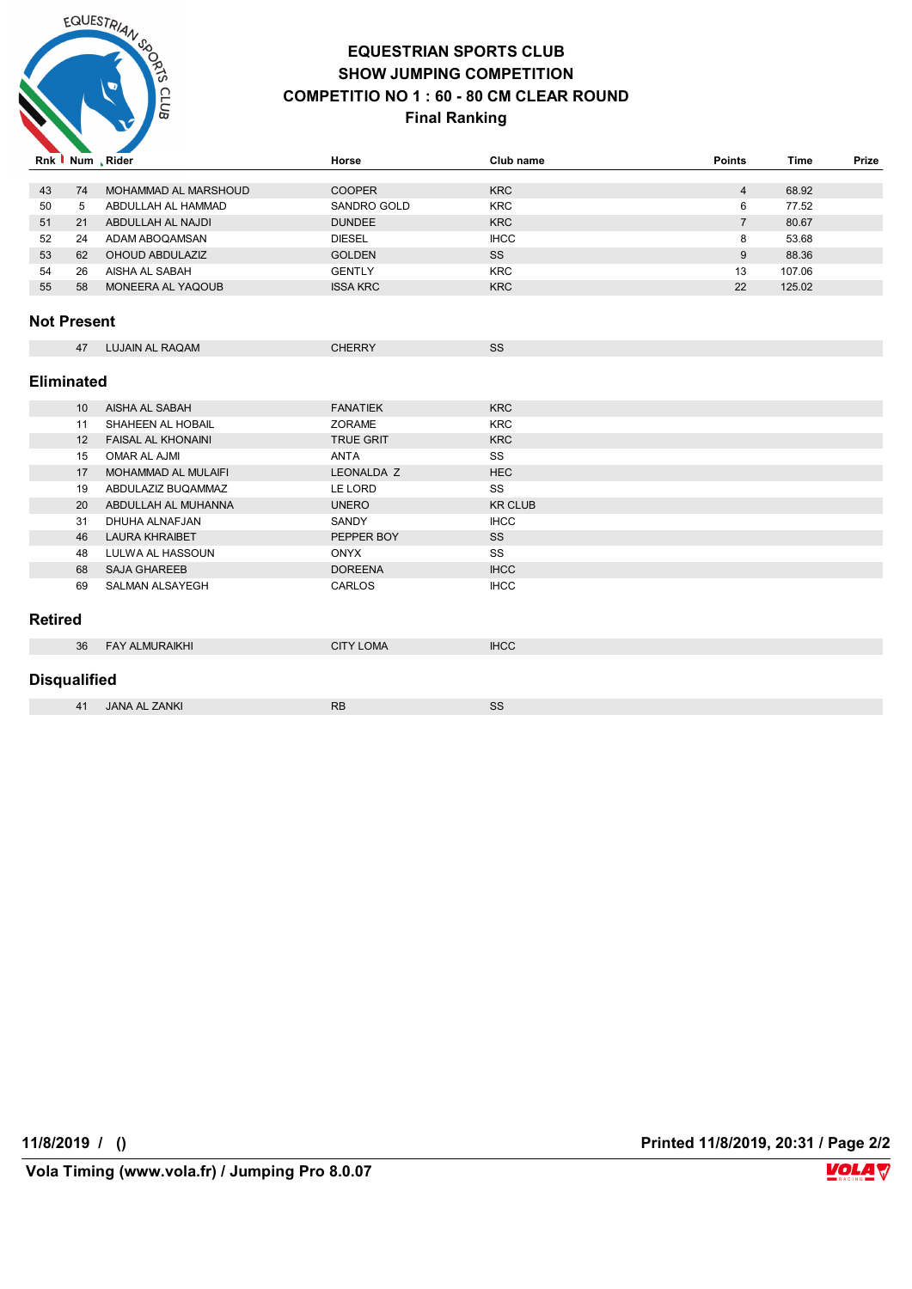

### **EQUESTRIAN SPORTS CLUB SHOW JUMPING COMPETITION COMPETITIO NO 1 : 60 - 80 CM CLEAR ROUND**

#### **Final Ranking**

|                     |                   | Rnk Num, Rider            | Horse            | Club name      | <b>Points</b>  | <b>Time</b> | Prize |
|---------------------|-------------------|---------------------------|------------------|----------------|----------------|-------------|-------|
|                     |                   |                           |                  |                |                |             |       |
| 43                  | 74                | MOHAMMAD AL MARSHOUD      | <b>COOPER</b>    | <b>KRC</b>     | $\overline{4}$ | 68.92       |       |
| 50                  | 5                 | ABDULLAH AL HAMMAD        | SANDRO GOLD      | <b>KRC</b>     | 6              | 77.52       |       |
| 51                  | 21                | ABDULLAH AL NAJDI         | <b>DUNDEE</b>    | <b>KRC</b>     | $\overline{7}$ | 80.67       |       |
| 52                  | 24                | ADAM ABOQAMSAN            | <b>DIESEL</b>    | <b>IHCC</b>    | 8              | 53.68       |       |
| 53                  | 62                | OHOUD ABDULAZIZ           | <b>GOLDEN</b>    | SS             | 9              | 88.36       |       |
| 54                  | 26                | AISHA AL SABAH            | <b>GENTLY</b>    | <b>KRC</b>     | 13             | 107.06      |       |
| 55                  | 58                | MONEERA AL YAQOUB         | <b>ISSA KRC</b>  | <b>KRC</b>     | 22             | 125.02      |       |
| <b>Not Present</b>  |                   |                           |                  |                |                |             |       |
|                     | 47                | <b>LUJAIN AL RAQAM</b>    | <b>CHERRY</b>    | SS             |                |             |       |
| <b>Eliminated</b>   |                   |                           |                  |                |                |             |       |
|                     | 10 <sup>°</sup>   | AISHA AL SABAH            | <b>FANATIEK</b>  | <b>KRC</b>     |                |             |       |
|                     | 11                | SHAHEEN AL HOBAIL         | ZORAME           | <b>KRC</b>     |                |             |       |
|                     | $12 \overline{ }$ | <b>FAISAL AL KHONAINI</b> | <b>TRUE GRIT</b> | <b>KRC</b>     |                |             |       |
|                     | 15                | OMAR AL AJMI              | <b>ANTA</b>      | SS             |                |             |       |
|                     | 17                | MOHAMMAD AL MULAIFI       | LEONALDA Z       | <b>HEC</b>     |                |             |       |
|                     | 19                | ABDULAZIZ BUQAMMAZ        | LE LORD          | SS             |                |             |       |
|                     | 20                | ABDULLAH AL MUHANNA       | <b>UNERO</b>     | <b>KR CLUB</b> |                |             |       |
|                     | 31                | DHUHA ALNAFJAN            | SANDY            | <b>IHCC</b>    |                |             |       |
|                     | 46                | <b>LAURA KHRAIBET</b>     | PEPPER BOY       | SS             |                |             |       |
|                     | 48                | LULWA AL HASSOUN          | <b>ONYX</b>      | SS             |                |             |       |
|                     | 68                | <b>SAJA GHAREEB</b>       | <b>DOREENA</b>   | <b>IHCC</b>    |                |             |       |
|                     | 69                | <b>SALMAN ALSAYEGH</b>    | CARLOS           | <b>IHCC</b>    |                |             |       |
| <b>Retired</b>      |                   |                           |                  |                |                |             |       |
|                     | 36                | <b>FAY ALMURAIKHI</b>     | <b>CITY LOMA</b> | <b>IHCC</b>    |                |             |       |
| <b>Disqualified</b> |                   |                           |                  |                |                |             |       |
|                     | 41                | <b>JANA AL ZANKI</b>      | <b>RB</b>        | SS             |                |             |       |

**11/8/2019 / () Printed 11/8/2019, 20:31 / Page 2/2**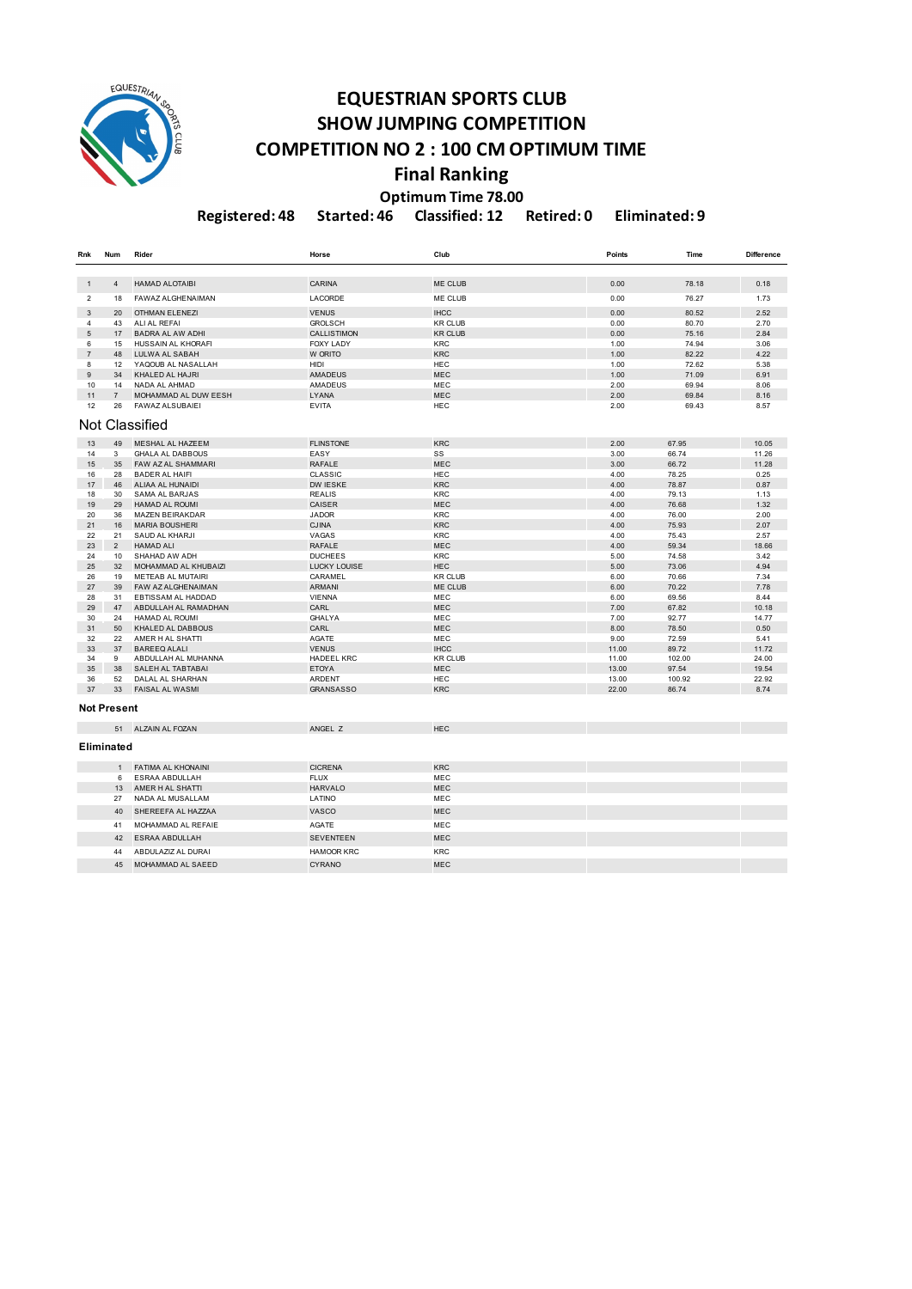

### **EQUESTRIAN SPORTS CLUB SHOW JUMPING COMPETITION COMPETITION NO 2 : 100 CM OPTIMUM TIME Final Ranking Optimum Time 78.00**

**Registered: 48 Started: 46 Classified: 12 Retired: 0 Eliminated: 9**

| Rnk            | Num            | Rider                    | Horse               | Club           | Points | Time   | <b>Difference</b> |
|----------------|----------------|--------------------------|---------------------|----------------|--------|--------|-------------------|
|                |                |                          |                     |                |        |        |                   |
| 1              | 4              | <b>HAMAD ALOTAIBI</b>    | CARINA              | ME CLUB        | 0.00   | 78.18  | 0.18              |
| $\overline{2}$ | 18             | <b>FAWAZ ALGHENAIMAN</b> | LACORDE             | ME CLUB        | 0.00   | 76.27  | 1.73              |
| 3              | 20             | <b>OTHMAN ELENEZI</b>    | <b>VENUS</b>        | <b>IHCC</b>    | 0.00   | 80.52  | 2.52              |
| 4              | 43             | ALI AL REFAI             | <b>GROLSCH</b>      | <b>KR CLUB</b> | 0.00   | 80.70  | 2.70              |
| 5              | 17             | <b>BADRA AL AW ADHI</b>  | <b>CALLISTIMON</b>  | <b>KR CLUB</b> | 0.00   | 75.16  | 2.84              |
| 6              | 15             | HUSSAIN AL KHORAFI       | <b>FOXY LADY</b>    | <b>KRC</b>     | 1.00   | 74.94  | 3.06              |
| $\overline{7}$ | 48             | LULWA AL SABAH           | W ORITO             | <b>KRC</b>     | 1.00   | 82.22  | 4.22              |
| 8              | 12             | YAQOUB AL NASALLAH       | <b>HIDI</b>         | HEC            | 1.00   | 72.62  | 5.38              |
| 9              | 34             | KHALED AL HAJRI          | <b>AMADEUS</b>      | <b>MEC</b>     | 1.00   | 71.09  | 6.91              |
| 10             | 14             | NADA AL AHMAD            | AMADEUS             | MEC            | 2.00   | 69.94  | 8.06              |
| 11             | $\overline{7}$ | MOHAMMAD AL DUW EESH     | LYANA               | <b>MEC</b>     | 2.00   | 69.84  | 8.16              |
| 12             | 26             | <b>FAWAZ ALSUBAIEI</b>   | <b>EVITA</b>        | HEC            | 2.00   | 69.43  | 8.57              |
|                |                | Not Classified           |                     |                |        |        |                   |
| 13             | 49             | <b>MESHAL AL HAZEEM</b>  | <b>FLINSTONE</b>    | <b>KRC</b>     | 2.00   | 67.95  | 10.05             |
| 14             | 3              | <b>GHALA AL DABBOUS</b>  | EASY                | SS             | 3.00   | 66.74  | 11.26             |
| 15             | 35             | FAW AZ AL SHAMMARI       | <b>RAFALE</b>       | <b>MEC</b>     | 3.00   | 66.72  | 11.28             |
| 16             | 28             | <b>BADER AL HAIFI</b>    | <b>CLASSIC</b>      | <b>HEC</b>     | 4.00   | 78.25  | 0.25              |
| 17             | 46             | <b>ALIAA AL HUNAIDI</b>  | DW IESKE            | <b>KRC</b>     | 4.00   | 78.87  | 0.87              |
| 18             | 30             | <b>SAMA AL BARJAS</b>    | <b>REALIS</b>       | <b>KRC</b>     | 4.00   | 79.13  | 1.13              |
| 19             | 29             | <b>HAMAD AL ROUMI</b>    | CAISER              | <b>MEC</b>     | 4.00   | 76.68  | 1.32              |
| 20             | 36             | MAZEN BEIRAKDAR          | <b>JADOR</b>        | <b>KRC</b>     | 4.00   | 76.00  | 2.00              |
| 21             | 16             | <b>MARIA BOUSHERI</b>    | <b>CJINA</b>        | <b>KRC</b>     | 4.00   | 75.93  | 2.07              |
| 22             | 21             | SAUD AL KHARJI           | VAGAS               | <b>KRC</b>     | 4.00   | 75.43  | 2.57              |
| 23             | $\overline{2}$ | <b>HAMAD ALI</b>         | <b>RAFALE</b>       | MEC            | 4.00   | 59.34  | 18.66             |
| 24             | 10             | SHAHAD AW ADH            | <b>DUCHEES</b>      | KRC            | 5.00   | 74.58  | 3.42              |
| 25             | 32             | MOHAMMAD AL KHUBAIZI     | <b>LUCKY LOUISE</b> | <b>HEC</b>     | 5.00   | 73.06  | 4.94              |
| 26             | 19             | METEAB AL MUTAIRI        | CARAMEL             | <b>KR CLUB</b> | 6.00   | 70.66  | 7.34              |
| 27             | 39             | FAW AZ ALGHENAIMAN       | <b>ARMANI</b>       | ME CLUB        | 6.00   | 70.22  | 7.78              |
| 28             | 31             | EBTISSAM AL HADDAD       | <b>VIENNA</b>       | MEC            | 6.00   | 69.56  | 8.44              |
| 29             | 47             | ABDULLAH AL RAMADHAN     | CARL                | <b>MEC</b>     | 7.00   | 67.82  | 10.18             |
| 30             | 24             | HAMAD AL ROUMI           | GHALYA              | MEC            | 7.00   | 92.77  | 14.77             |
| 31             | 50             | KHALED AL DABBOUS        | CARL                | <b>MEC</b>     | 8.00   | 78.50  | 0.50              |
| 32             | 22             | AMER H AL SHATTI         | AGATE               | MEC            | 9.00   | 72.59  | 5.41              |
| 33             | 37             | <b>BAREEQ ALALI</b>      | <b>VENUS</b>        | <b>IHCC</b>    | 11.00  | 89.72  | 11.72             |
| 34             | 9              | ABDULLAH AL MUHANNA      | <b>HADEEL KRC</b>   | <b>KR CLUB</b> | 11.00  | 102.00 | 24.00             |
| 35             | 38             | SALEH AL TABTABAI        | <b>ETOYA</b>        | MEC            | 13.00  | 97.54  | 19.54             |
| 36             | 52             | DALAL AL SHARHAN         | ARDENT              | HEC            | 13.00  | 100.92 | 22.92             |
| 37             | 33             | <b>FAISAL AL WASMI</b>   | <b>GRANSASSO</b>    | <b>KRC</b>     | 22.00  | 86.74  | 8.74              |
|                | Not Present    |                          |                     |                |        |        |                   |
|                |                | 51 ALZAIN AL FOZAN       | ANGEL Z             | <b>HEC</b>     |        |        |                   |
|                | Eliminated     |                          |                     |                |        |        |                   |
|                | $\mathbf{1}$   | FATIMA AL KHONAINI       | <b>CICRENA</b>      | <b>KRC</b>     |        |        |                   |
|                | 6              | <b>ESRAA ABDULLAH</b>    | <b>FLUX</b>         | MEC            |        |        |                   |
|                | 13             | AMER H AL SHATTI         | <b>HARVALO</b>      | <b>MEC</b>     |        |        |                   |
|                | 27             | NADA AL MUSALLAM         | LATINO              | MEC            |        |        |                   |
|                | 40             | SHEREEFA AL HAZZAA       | <b>VASCO</b>        | <b>MEC</b>     |        |        |                   |
|                | 41             | MOHAMMAD AL REFAIE       | AGATE               | MEC            |        |        |                   |
|                | 42             | <b>ESRAA ABDULLAH</b>    | <b>SEVENTEEN</b>    | <b>MEC</b>     |        |        |                   |
|                | 44             | ABDULAZIZ AL DURAI       | <b>HAMOOR KRC</b>   | <b>KRC</b>     |        |        |                   |
|                | 45             | MOHAMMAD AL SAEED        | <b>CYRANO</b>       | <b>MEC</b>     |        |        |                   |
|                |                |                          |                     |                |        |        |                   |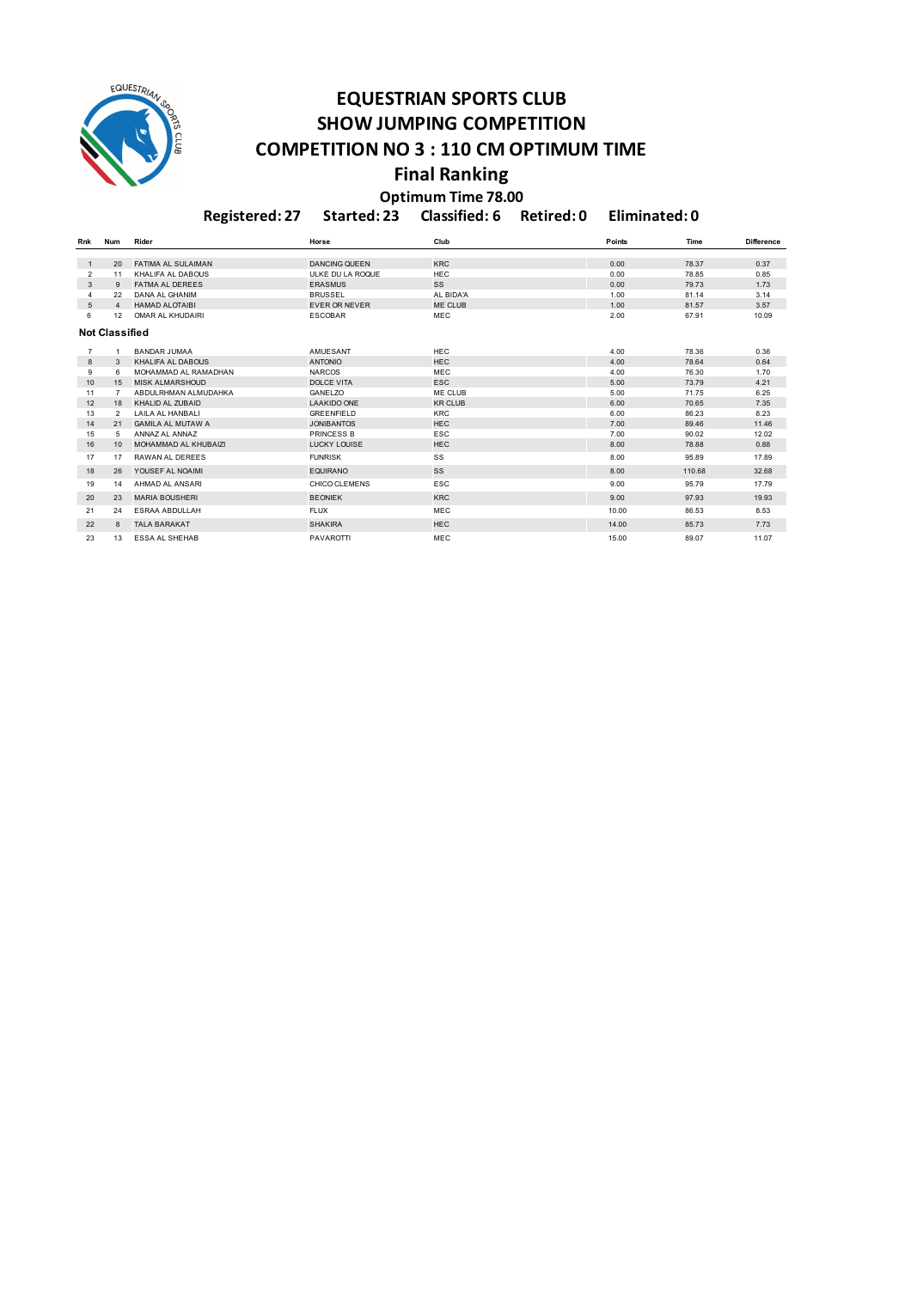

## **EQUESTRIAN SPORTS CLUB SHOW JUMPING COMPETITION COMPETITION NO 3 : 110 CM OPTIMUM TIME Final Ranking**

**Optimum Time 78.00**

**Registered: 27 Started: 23 Classified: 6 Retired: 0 Eliminated: 0**

| Rnk            | <b>Num</b>            | Rider                     | Horse                | Club           | Points | Time   | <b>Difference</b> |
|----------------|-----------------------|---------------------------|----------------------|----------------|--------|--------|-------------------|
|                |                       |                           |                      |                |        |        |                   |
| $\mathbf{1}$   | 20 <sub>0</sub>       | <b>FATIMA AL SULAIMAN</b> | <b>DANCING QUEEN</b> | <b>KRC</b>     | 0.00   | 78.37  | 0.37              |
| $\overline{2}$ | 11                    | KHALIFA AL DABOUS         | ULKE DU LA ROQUE     | <b>HEC</b>     | 0.00   | 78.85  | 0.85              |
| 3              | 9                     | <b>FATMA AL DEREES</b>    | <b>ERASMUS</b>       | SS             | 0.00   | 79.73  | 1.73              |
|                | 22                    | DANA AL GHANIM            | <b>BRUSSEL</b>       | AL BIDA'A      | 1.00   | 81.14  | 3.14              |
| 5              | 4                     | <b>HAMAD ALOTAIBI</b>     | <b>EVER OR NEVER</b> | ME CLUB        | 1.00   | 81.57  | 3.57              |
| 6              | 12                    | OMAR AL KHUDAIRI          | <b>ESCOBAR</b>       | <b>MEC</b>     | 2.00   | 67.91  | 10.09             |
|                | <b>Not Classified</b> |                           |                      |                |        |        |                   |
|                |                       |                           |                      |                |        |        |                   |
| $\overline{7}$ |                       | <b>BANDAR JUMAA</b>       | AMUESANT             | <b>HEC</b>     | 4.00   | 78.36  | 0.36              |
| 8              | 3                     | KHALIFA AL DABOUS         | <b>ANTONIO</b>       | <b>HEC</b>     | 4.00   | 78.64  | 0.64              |
| 9              | 6                     | MOHAMMAD AL RAMADHAN      | <b>NARCOS</b>        | <b>MEC</b>     | 4.00   | 76.30  | 1.70              |
| 10             | 15                    | <b>MISK ALMARSHOUD</b>    | DOLCE VITA           | <b>ESC</b>     | 5.00   | 73.79  | 4.21              |
| 11             | $\overline{7}$        | ABDULRHMAN ALMUDAHKA      | GANELZO              | ME CLUB        | 5.00   | 71.75  | 6.25              |
| 12             | 18                    | KHALID AL ZUBAID          | <b>LAAKIDO ONE</b>   | <b>KR CLUB</b> | 6.00   | 70.65  | 7.35              |
| 13             | $\mathcal{P}$         | <b>LAILA AL HANBALI</b>   | <b>GREENFIELD</b>    | <b>KRC</b>     | 6.00   | 86.23  | 8.23              |
| 14             | 21                    | <b>GAMILA AL MUTAW A</b>  | <b>JONIBANTOS</b>    | <b>HEC</b>     | 7.00   | 89.46  | 11.46             |
| 15             | .5                    | ANNAZ AL ANNAZ            | <b>PRINCESS B</b>    | ESC            | 7.00   | 90.02  | 12.02             |
| 16             | 10 <sup>1</sup>       | MOHAMMAD AL KHUBAIZI      | <b>LUCKY LOUISE</b>  | <b>HEC</b>     | 8.00   | 78.88  | 0.88              |
| 17             | 17                    | RAWAN AL DEREES           | <b>FUNRISK</b>       | SS             | 8.00   | 95.89  | 17.89             |
| 18             | 26                    | YOUSEF AL NOAIMI          | <b>EQUIRANO</b>      | SS             | 8.00   | 110.68 | 32.68             |
| 19             | 14                    | AHMAD AL ANSARI           | <b>CHICO CLEMENS</b> | ESC            | 9.00   | 95.79  | 17.79             |
| 20             | 23                    | <b>MARIA BOUSHERI</b>     | <b>BEONIEK</b>       | <b>KRC</b>     | 9.00   | 97.93  | 19.93             |
| 21             | 24                    | <b>ESRAA ABDULLAH</b>     | <b>FLUX</b>          | <b>MEC</b>     | 10.00  | 86.53  | 8.53              |
| 22             | 8                     | <b>TALA BARAKAT</b>       | <b>SHAKIRA</b>       | <b>HEC</b>     | 14.00  | 85.73  | 7.73              |
| 23             | 13                    | <b>ESSA AL SHEHAB</b>     | <b>PAVAROTTI</b>     | <b>MEC</b>     | 15.00  | 89.07  | 11.07             |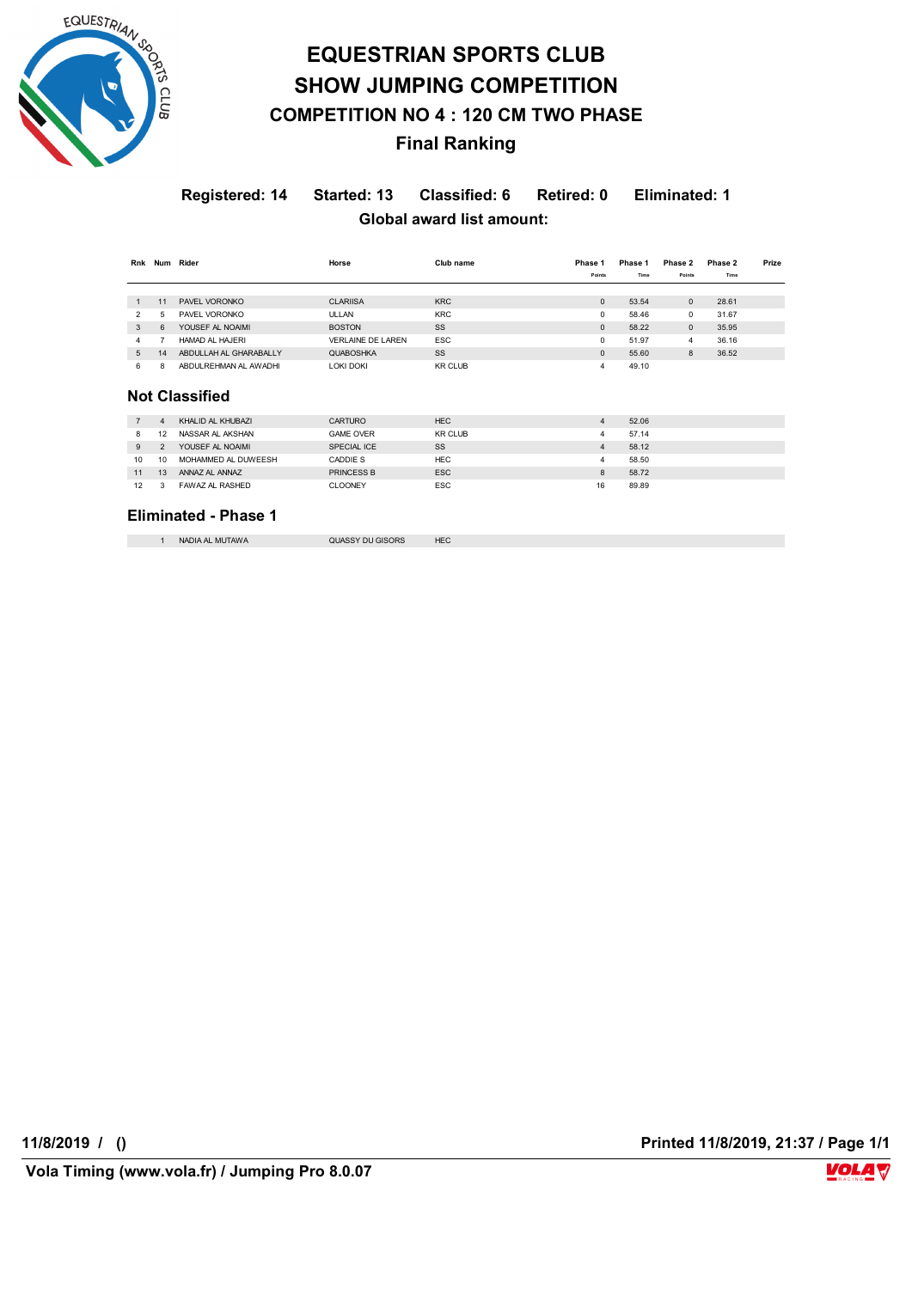

# **EQUESTRIAN SPORTS CLUB SHOW JUMPING COMPETITION COMPETITION NO 4 : 120 CM TWO PHASE Final Ranking**

### **Registered: 14 Started: 13 Classified: 6 Retired: 0 Eliminated: 1 Global award list amount:**

| Rnk            |                | Num Rider              | Horse                    | Club name      | Phase 1        | Phase 1 | Phase 2      | Phase 2 | Prize |
|----------------|----------------|------------------------|--------------------------|----------------|----------------|---------|--------------|---------|-------|
|                |                |                        |                          |                | Points         | Time    | Points       | Time    |       |
|                |                |                        |                          |                |                |         |              |         |       |
| $\mathbf{1}$   | 11             | PAVEL VORONKO          | <b>CLARIISA</b>          | <b>KRC</b>     | $\mathbf{0}$   | 53.54   | $\mathbf{0}$ | 28.61   |       |
| 2              | 5              | PAVEL VORONKO          | <b>ULLAN</b>             | <b>KRC</b>     | 0              | 58.46   | 0            | 31.67   |       |
| 3              | 6              | YOUSEF AL NOAIMI       | <b>BOSTON</b>            | SS             | $\mathbf{0}$   | 58.22   | $\mathbf{0}$ | 35.95   |       |
| 4              | $\overline{7}$ | HAMAD AL HAJERI        | <b>VERLAINE DE LAREN</b> | <b>ESC</b>     | 0              | 51.97   | 4            | 36.16   |       |
| 5              | 14             | ABDULLAH AL GHARABALLY | <b>QUABOSHKA</b>         | SS             | $\mathbf{0}$   | 55.60   | 8            | 36.52   |       |
| 6              | 8              | ABDULREHMAN AL AWADHI  | <b>LOKI DOKI</b>         | <b>KR CLUB</b> | 4              | 49.10   |              |         |       |
|                |                |                        |                          |                |                |         |              |         |       |
|                |                | <b>Not Classified</b>  |                          |                |                |         |              |         |       |
|                |                |                        |                          |                |                |         |              |         |       |
| $\overline{7}$ | $\overline{4}$ | KHALID AL KHUBAZI      | CARTURO                  | <b>HEC</b>     | $\overline{4}$ | 52.06   |              |         |       |
| 8              | 12             | NASSAR AL AKSHAN       | <b>GAME OVER</b>         | <b>KR CLUB</b> | 4              | 57.14   |              |         |       |
| 9              | $\overline{2}$ | YOUSEF AL NOAIMI       | SPECIAL ICE              | SS             | $\overline{4}$ | 58.12   |              |         |       |
| 10             | 10             | MOHAMMED AL DUWEESH    | CADDIE S                 | <b>HEC</b>     | 4              | 58.50   |              |         |       |
| 11             | 13             | ANNAZ AL ANNAZ         | <b>PRINCESS B</b>        | <b>ESC</b>     | 8              | 58.72   |              |         |       |

#### **Eliminated - Phase 1**

1 NADIA AL MUTAWA QUASSY DU GISORS HEC

12 3 FAWAZ AL RASHED CLOONEY ESC 16 89.89